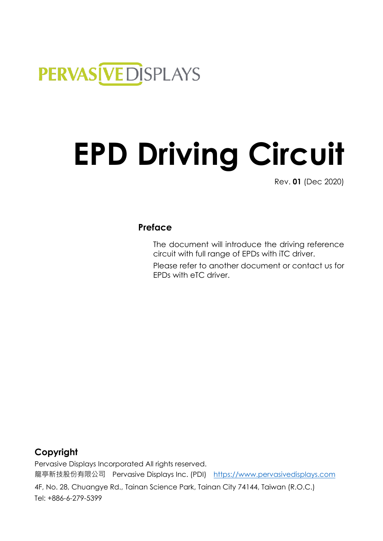# PERVAS [VED] SPLAYS

# **EPD Driving Circuit**

Rev. **01** (Dec 2020)

# **Preface**

The document will introduce the driving reference circuit with full range of EPDs with iTC driver. Please refer to another document or contact us for EPDs with eTC driver.

# **Copyright**

Pervasive Displays Incorporated All rights reserved. 龍亭新技股份有限公司 Pervasive Displays Inc. (PDI) [https://www.pervasivedisplays.com](https://www.pervasivedisplays.com/)

4F, No. 28, Chuangye Rd., Tainan Science Park, Tainan City 74144, Taiwan (R.O.C.) Tel: +886-6-279-5399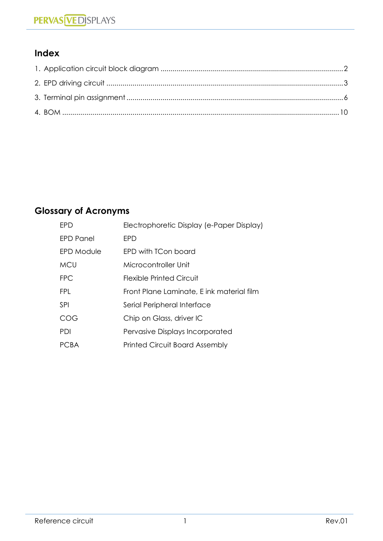# **Index**

# **Glossary of Acronyms**

| FPD.              | Electrophoretic Display (e-Paper Display) |
|-------------------|-------------------------------------------|
| FPD Panel         | <b>FPD</b>                                |
| <b>EPD Module</b> | EPD with TCon board                       |
| <b>MCU</b>        | Microcontroller Unit                      |
| <b>FPC</b>        | <b>Flexible Printed Circuit</b>           |
| <b>FPL</b>        | Front Plane Laminate, E ink material film |
| SPI               | Serial Peripheral Interface               |
| COG               | Chip on Glass, driver IC                  |
| PDI               | Pervasive Displays Incorporated           |
| PCBA              | <b>Printed Circuit Board Assembly</b>     |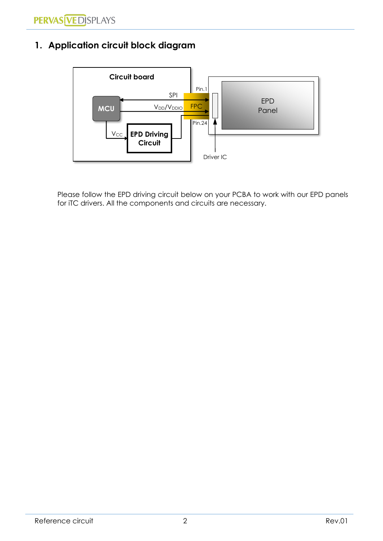# <span id="page-2-0"></span>**1. Application circuit block diagram**



Please follow the EPD driving circuit below on your PCBA to work with our EPD panels for iTC drivers. All the components and circuits are necessary.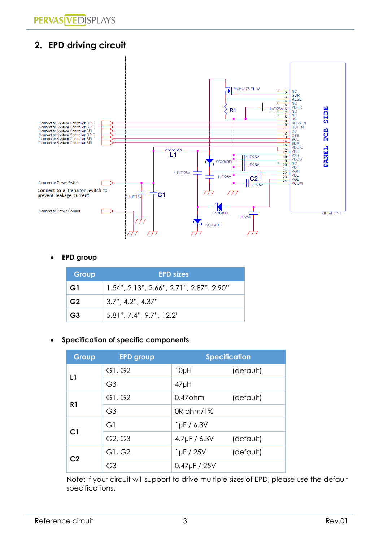# <span id="page-3-0"></span>**2. EPD driving circuit**



#### • **EPD group**

| Group          | <b>EPD sizes</b>                         |
|----------------|------------------------------------------|
| G1             | 1.54", 2.13", 2.66", 2.71", 2.87", 2.90" |
| G <sub>2</sub> | $3.7$ ", $4.2$ ", $4.37$ "               |
| G <sub>3</sub> | $5.81$ ", $7.4$ ", $9.7$ ", $12.2$ "     |

#### • **Specification of specific components**

| Group          | <b>EPD group</b> | <b>Specification</b> |           |
|----------------|------------------|----------------------|-----------|
| L1             | G1, G2           | $10\muH$             | (default) |
|                | G <sub>3</sub>   | $47\mu H$            |           |
| R <sub>1</sub> | G1, G2           | $0.47$ ohm           | (default) |
|                | G <sub>3</sub>   | OR ohm/1%            |           |
|                | G1               | $1\mu$ F / 6.3V      |           |
| C <sub>1</sub> | G2, G3           | 4.7 $\mu$ F / 6.3V   | (default) |
|                | G1, G2           | $1\mu F / 25V$       | (default) |
| C <sub>2</sub> | G <sub>3</sub>   | $0.47 \mu F / 25 V$  |           |

Note: if your circuit will support to drive multiple sizes of EPD, please use the default specifications.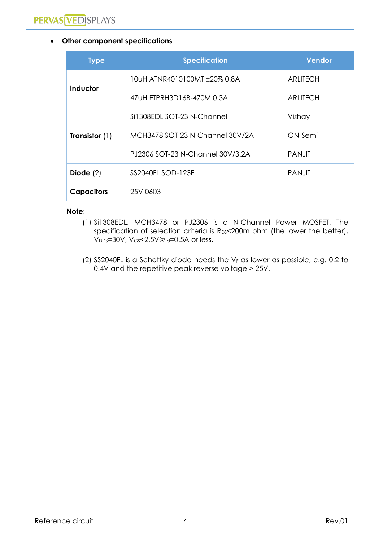#### • **Other component specifications**

| <b>Type</b>             | <b>Specification</b>             | <b>Vendor</b>   |
|-------------------------|----------------------------------|-----------------|
|                         | 10uH ATNR4010100MT ±20% 0.8A     | <b>ARLITECH</b> |
| Inductor                | 47 UH ETPRH3D16B-470M 0.3A       | <b>ARLITECH</b> |
|                         | Si1308EDL SOT-23 N-Channel       | Vishay          |
| <b>Transistor</b> $(1)$ | MCH3478 SOT-23 N-Channel 30V/2A  | ON-Semi         |
|                         | PJ2306 SOT-23 N-Channel 30V/3.2A | <b>PANJIT</b>   |
| Diode $(2)$             | SS2040FL SOD-123FL               | <b>PANJIT</b>   |
| <b>Capacitors</b>       | 25V 0603                         |                 |

#### **Note**:

- (1) Si1308EDL, MCH3478 or PJ2306 is a N-Channel Power MOSFET. The specification of selection criteria is R<sub>DS</sub><200m ohm (the lower the better), V<sub>DDS</sub>=30V, V<sub>GS</sub><2.5V@l<sub>d</sub>=0.5A or less.
- (2) SS2040FL is a Schottky diode needs the  $V_F$  as lower as possible, e.g. 0.2 to 0.4V and the repetitive peak reverse voltage > 25V.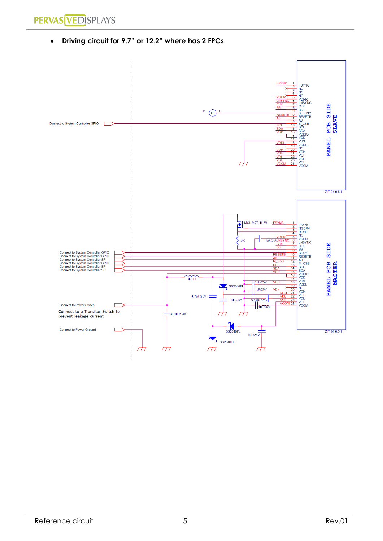**PERVAS VED SPLAYS** 

• **Driving circuit for 9.7" or 12.2" where has 2 FPCs**

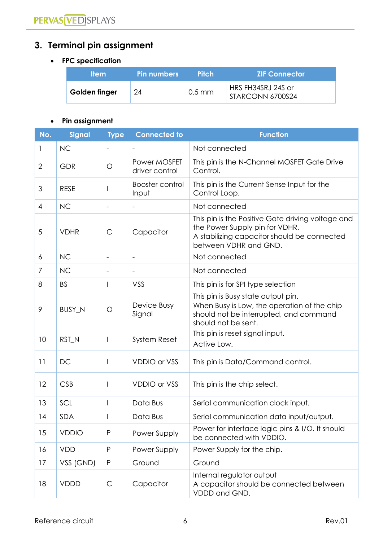# <span id="page-6-0"></span>**3. Terminal pin assignment**

#### • **FPC specification**

| <b>Item</b>   | <b>Pin numbers</b> | <b>Pitch</b>       | <b>ZIF Connector</b>                   |
|---------------|--------------------|--------------------|----------------------------------------|
| Golden finger | 24                 | $0.5 \, \text{mm}$ | HRS FH34SRJ 24S or<br>STARCONN 6700S24 |

#### • **Pin assignment**

| No.            | <b>Signal</b> | <b>Type</b>              | <b>Connected to</b>            | <b>Function</b>                                                                                                                                             |
|----------------|---------------|--------------------------|--------------------------------|-------------------------------------------------------------------------------------------------------------------------------------------------------------|
|                | <b>NC</b>     |                          |                                | Not connected                                                                                                                                               |
| $\overline{2}$ | <b>GDR</b>    | O                        | Power MOSFET<br>driver control | This pin is the N-Channel MOSFET Gate Drive<br>Control.                                                                                                     |
| 3              | <b>RESE</b>   |                          | Booster control<br>Input       | This pin is the Current Sense Input for the<br>Control Loop.                                                                                                |
| $\overline{4}$ | <b>NC</b>     | $\overline{\phantom{a}}$ | $\overline{\phantom{a}}$       | Not connected                                                                                                                                               |
| 5              | <b>VDHR</b>   | $\mathsf{C}$             | Capacitor                      | This pin is the Positive Gate driving voltage and<br>the Power Supply pin for VDHR.<br>A stabilizing capacitor should be connected<br>between VDHR and GND. |
| 6              | <b>NC</b>     |                          |                                | Not connected                                                                                                                                               |
| 7              | <b>NC</b>     | $\overline{\phantom{a}}$ |                                | Not connected                                                                                                                                               |
| 8              | <b>BS</b>     |                          | VSS                            | This pin is for SPI type selection                                                                                                                          |
| 9              | BUSY_N        | $\circ$                  | Device Busy<br>Signal          | This pin is Busy state output pin.<br>When Busy is Low, the operation of the chip<br>should not be interrupted, and command<br>should not be sent.          |
| 10             | RST_N         |                          | System Reset                   | This pin is reset signal input.<br>Active Low.                                                                                                              |
| 11             | DC            |                          | <b>VDDIO or VSS</b>            | This pin is Data/Command control.                                                                                                                           |
| 12             | <b>CSB</b>    | I                        | <b>VDDIO or VSS</b>            | This pin is the chip select.                                                                                                                                |
| 13             | SCL           |                          | Data Bus                       | Serial communication clock input.                                                                                                                           |
| 4              | <b>SDA</b>    |                          | Data Bus                       | Serial communication data input/output.                                                                                                                     |
| 15             | <b>VDDIO</b>  | ${\sf P}$                | Power Supply                   | Power for interface logic pins & I/O. It should<br>be connected with VDDIO.                                                                                 |
| 16             | <b>VDD</b>    | P                        | Power Supply                   | Power Supply for the chip.                                                                                                                                  |
| 17             | VSS (GND)     | $\mathsf{P}$             | Ground                         | Ground                                                                                                                                                      |
| 18             | <b>VDDD</b>   | $\mathsf{C}$             | Capacitor                      | Internal regulator output<br>A capacitor should be connected between<br>VDDD and GND.                                                                       |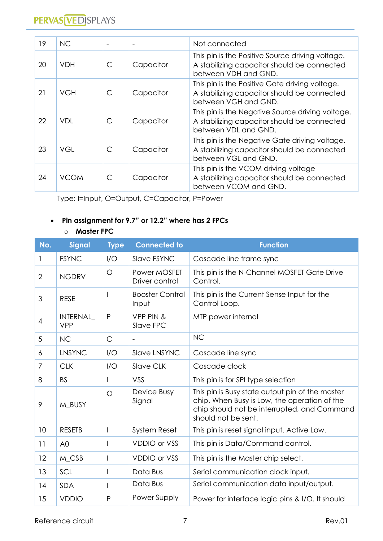| 19 | <b>NC</b>   |   |           | Not connected                                                                                                           |
|----|-------------|---|-----------|-------------------------------------------------------------------------------------------------------------------------|
| 20 | <b>VDH</b>  | C | Capacitor | This pin is the Positive Source driving voltage.<br>A stabilizing capacitor should be connected<br>between VDH and GND. |
| 21 | VGH         | C | Capacitor | This pin is the Positive Gate driving voltage.<br>A stabilizing capacitor should be connected<br>between VGH and GND.   |
| 22 | VDI.        | C | Capacitor | This pin is the Negative Source driving voltage.<br>A stabilizing capacitor should be connected<br>between VDL and GND. |
| 23 | VGL         | C | Capacitor | This pin is the Negative Gate driving voltage.<br>A stabilizing capacitor should be connected<br>between VGL and GND.   |
| 24 | <b>VCOM</b> | C | Capacitor | This pin is the VCOM driving voltage<br>A stabilizing capacitor should be connected<br>between VCOM and GND.            |

Type: I=Input, O=Output, C=Capacitor, P=Power

#### • **Pin assignment for 9.7" or 12.2" where has 2 FPCs**

#### o **Master FPC**

| No.            | <b>Signal</b>          | <b>Type</b>  | <b>Connected to</b>             | <b>Function</b>                                                                                                                                                       |
|----------------|------------------------|--------------|---------------------------------|-----------------------------------------------------------------------------------------------------------------------------------------------------------------------|
| 1              | <b>FSYNC</b>           | I/O          | Slave FSYNC                     | Cascade line frame sync                                                                                                                                               |
| $\overline{2}$ | <b>NGDRV</b>           | $\circ$      | Power MOSFET<br>Driver control  | This pin is the N-Channel MOSFET Gate Drive<br>Control.                                                                                                               |
| 3              | <b>RESE</b>            |              | <b>Booster Control</b><br>Input | This pin is the Current Sense Input for the<br>Control Loop.                                                                                                          |
| 4              | INTERNAL<br><b>VPP</b> | P            | VPP PIN &<br>Slave FPC          | MTP power internal                                                                                                                                                    |
| 5              | <b>NC</b>              | $\mathsf{C}$ | $\overline{\phantom{a}}$        | <b>NC</b>                                                                                                                                                             |
| 6              | <b>LNSYNC</b>          | I/O          | Slave LNSYNC                    | Cascade line sync                                                                                                                                                     |
| $\overline{7}$ | <b>CLK</b>             | I/O          | <b>Slave CLK</b>                | Cascade clock                                                                                                                                                         |
| 8              | <b>BS</b>              |              | VSS                             | This pin is for SPI type selection                                                                                                                                    |
| 9              | M BUSY                 | $\circ$      | Device Busy<br>Signal           | This pin is Busy state output pin of the master<br>chip. When Busy is Low, the operation of the<br>chip should not be interrupted, and Command<br>should not be sent. |
| 10             | <b>RESETB</b>          |              | System Reset                    | This pin is reset signal input. Active Low.                                                                                                                           |
| 11             | A <sub>0</sub>         |              | <b>VDDIO or VSS</b>             | This pin is Data/Command control.                                                                                                                                     |
| 12             | M_CSB                  |              | <b>VDDIO or VSS</b>             | This pin is the Master chip select.                                                                                                                                   |
| 13             | SCL                    |              | Data Bus                        | Serial communication clock input.                                                                                                                                     |
| 14             | <b>SDA</b>             |              | Data Bus                        | Serial communication data input/output.                                                                                                                               |
| 15             | <b>VDDIO</b>           | P            | Power Supply                    | Power for interface logic pins & I/O. It should                                                                                                                       |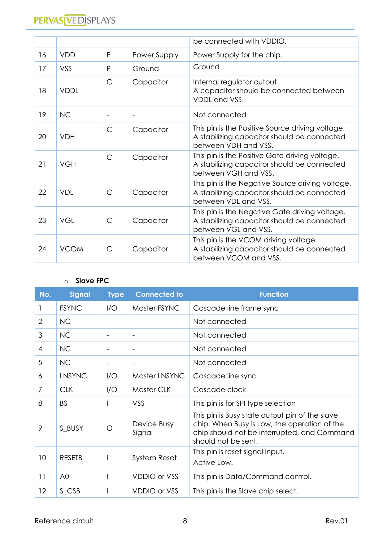|    |             |                          |                          | be connected with VDDIO.                                                                                                |
|----|-------------|--------------------------|--------------------------|-------------------------------------------------------------------------------------------------------------------------|
| 16 | <b>VDD</b>  | P                        | Power Supply             | Power Supply for the chip.                                                                                              |
| 17 | VSS         | P                        | Ground                   | Ground                                                                                                                  |
| 18 | <b>VDDL</b> | $\mathsf{C}$             | Capacitor                | Internal regulator output<br>A capacitor should be connected between<br>VDDL and VSS.                                   |
| 19 | <b>NC</b>   | $\overline{\phantom{a}}$ | $\overline{\phantom{a}}$ | Not connected                                                                                                           |
| 20 | <b>VDH</b>  | $\mathsf{C}$             | Capacitor                | This pin is the Positive Source driving voltage.<br>A stabilizing capacitor should be connected<br>between VDH and VSS. |
| 21 | <b>VGH</b>  | $\mathsf{C}$             | Capacitor                | This pin is the Positive Gate driving voltage.<br>A stabilizing capacitor should be connected<br>between VGH and VSS.   |
| 22 | <b>VDL</b>  | $\mathsf{C}$             | Capacitor                | This pin is the Negative Source driving voltage.<br>A stabilizing capacitor should be connected<br>between VDL and VSS. |
| 23 | <b>VGL</b>  | $\mathsf{C}$             | Capacitor                | This pin is the Negative Gate driving voltage.<br>A stabilizing capacitor should be connected<br>between VGL and VSS.   |
| 24 | <b>VCOM</b> | $\mathsf{C}$             | Capacitor                | This pin is the VCOM driving voltage<br>A stabilizing capacitor should be connected<br>between VCOM and VSS.            |

#### o **Slave FPC**

| No.            | <b>Signal</b>  | <b>Type</b>              | <b>Connected to</b>      | <b>Function</b>                                                                                                                                                      |
|----------------|----------------|--------------------------|--------------------------|----------------------------------------------------------------------------------------------------------------------------------------------------------------------|
|                | <b>FSYNC</b>   | I/O                      | Master FSYNC             | Cascade line frame sync                                                                                                                                              |
| $\overline{2}$ | <b>NC</b>      | $\overline{\phantom{a}}$ | $\blacksquare$           | Not connected                                                                                                                                                        |
| 3              | <b>NC</b>      | $\overline{\phantom{a}}$ | $\blacksquare$           | Not connected                                                                                                                                                        |
| 4              | <b>NC</b>      |                          | $\overline{\phantom{a}}$ | Not connected                                                                                                                                                        |
| 5              | <b>NC</b>      | $\overline{\phantom{a}}$ | $\qquad \qquad -$        | Not connected                                                                                                                                                        |
| 6              | LNSYNC         | I/O                      | Master LNSYNC            | Cascade line sync                                                                                                                                                    |
| $\overline{7}$ | <b>CLK</b>     | I/O                      | Master CLK               | Cascade clock                                                                                                                                                        |
| 8              | <b>BS</b>      |                          | VSS                      | This pin is for SPI type selection                                                                                                                                   |
| 9              | S_BUSY         | Ω                        | Device Busy<br>Signal    | This pin is Busy state output pin of the slave<br>chip. When Busy is Low, the operation of the<br>chip should not be interrupted, and Command<br>should not be sent. |
| 10             | <b>RESETB</b>  |                          | <b>System Reset</b>      | This pin is reset signal input.<br>Active Low.                                                                                                                       |
| 11             | A <sub>0</sub> |                          | <b>VDDIO or VSS</b>      | This pin is Data/Command control.                                                                                                                                    |
| $12 \,$        | S_CSB          |                          | <b>VDDIO or VSS</b>      | This pin is the Slave chip select.                                                                                                                                   |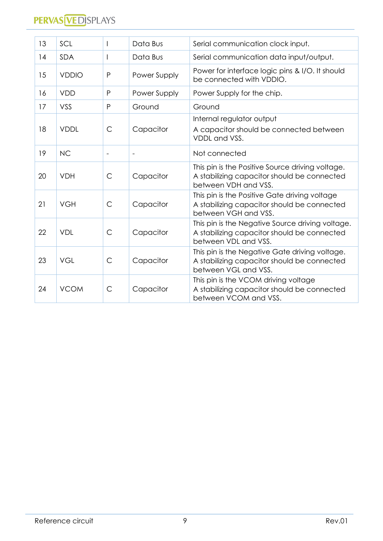| 13 | SCL          |                          | Data Bus       | Serial communication clock input.                                                                                       |
|----|--------------|--------------------------|----------------|-------------------------------------------------------------------------------------------------------------------------|
| 14 | <b>SDA</b>   |                          | Data Bus       | Serial communication data input/output.                                                                                 |
| 15 | <b>VDDIO</b> | P                        | Power Supply   | Power for interface logic pins & I/O. It should<br>be connected with VDDIO.                                             |
| 16 | <b>VDD</b>   | $\mathsf{P}$             | Power Supply   | Power Supply for the chip.                                                                                              |
| 17 | VSS          | P                        | Ground         | Ground                                                                                                                  |
| 18 | <b>VDDL</b>  | $\mathsf{C}$             | Capacitor      | Internal regulator output<br>A capacitor should be connected between<br>VDDL and VSS.                                   |
| 19 | <b>NC</b>    | $\overline{\phantom{a}}$ | $\blacksquare$ | Not connected                                                                                                           |
| 20 | <b>VDH</b>   | $\mathsf{C}$             | Capacitor      | This pin is the Positive Source driving voltage.<br>A stabilizing capacitor should be connected<br>between VDH and VSS. |
| 21 | <b>VGH</b>   | $\mathsf{C}$             | Capacitor      | This pin is the Positive Gate driving voltage<br>A stabilizing capacitor should be connected<br>between VGH and VSS.    |
| 22 | <b>VDL</b>   | $\mathsf{C}$             | Capacitor      | This pin is the Negative Source driving voltage.<br>A stabilizing capacitor should be connected<br>between VDL and VSS. |
| 23 | <b>VGL</b>   | $\mathsf{C}$             | Capacitor      | This pin is the Negative Gate driving voltage.<br>A stabilizing capacitor should be connected<br>between VGL and VSS.   |
| 24 | <b>VCOM</b>  | $\mathsf{C}$             | Capacitor      | This pin is the VCOM driving voltage<br>A stabilizing capacitor should be connected<br>between VCOM and VSS.            |